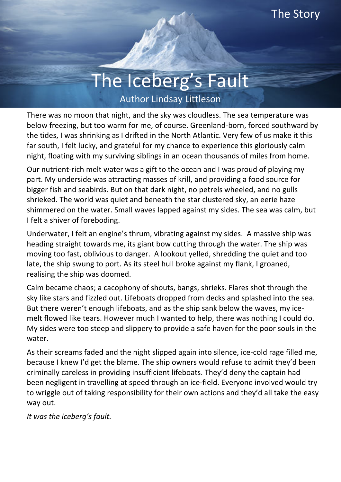## The Iceberg's Fault Author Lindsay Littleson

There was no moon that night, and the sky was cloudless. The sea temperature was below freezing, but too warm for me, of course. Greenland-born, forced southward by the tides, I was shrinking as I drifted in the North Atlantic. Very few of us make it this far south, I felt lucky, and grateful for my chance to experience this gloriously calm night, floating with my surviving siblings in an ocean thousands of miles from home.

Our nutrient-rich melt water was a gift to the ocean and I was proud of playing my part. My underside was attracting masses of krill, and providing a food source for bigger fish and seabirds. But on that dark night, no petrels wheeled, and no gulls shrieked. The world was quiet and beneath the star clustered sky, an eerie haze shimmered on the water. Small waves lapped against my sides. The sea was calm, but I felt a shiver of foreboding.

Underwater, I felt an engine's thrum, vibrating against my sides. A massive ship was heading straight towards me, its giant bow cutting through the water. The ship was moving too fast, oblivious to danger. A lookout yelled, shredding the quiet and too late, the ship swung to port. As its steel hull broke against my flank, I groaned, realising the ship was doomed.

Calm became chaos; a cacophony of shouts, bangs, shrieks. Flares shot through the sky like stars and fizzled out. Lifeboats dropped from decks and splashed into the sea. But there weren't enough lifeboats, and as the ship sank below the waves, my icemelt flowed like tears. However much I wanted to help, there was nothing I could do. My sides were too steep and slippery to provide a safe haven for the poor souls in the water.

As their screams faded and the night slipped again into silence, ice-cold rage filled me, because I knew I'd get the blame. The ship owners would refuse to admit they'd been criminally careless in providing insufficient lifeboats. They'd deny the captain had been negligent in travelling at speed through an ice-field. Everyone involved would try to wriggle out of taking responsibility for their own actions and they'd all take the easy way out.

*It was the iceberg's fault.*